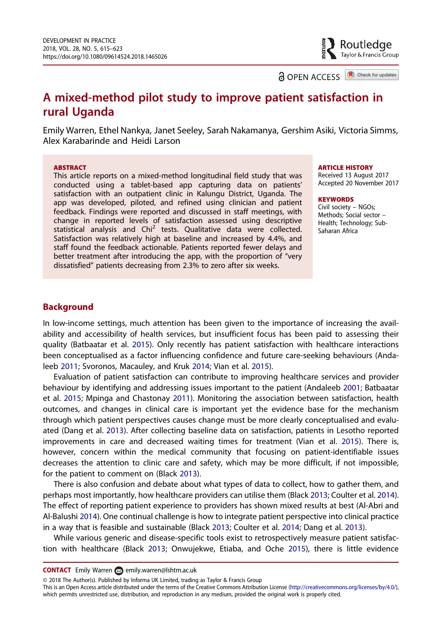**a** OPEN ACCESS **a** Check for updates

Routledae Taylor & Francis Group

# A mixed-method pilot study to improve patient satisfaction in rural Uganda

Emily Warren, Ethel Nankya, Janet Seeley, Sarah Nakamanya, Gershim Asiki, Victoria Simms, Alex Karabarinde and Heidi Larson

### ABSTRACT

This article reports on a mixed-method longitudinal field study that was conducted using a tablet-based app capturing data on patients' satisfaction with an outpatient clinic in Kalungu District, Uganda. The app was developed, piloted, and refined using clinician and patient feedback. Findings were reported and discussed in staff meetings, with change in reported levels of satisfaction assessed using descriptive statistical analysis and Chi<sup>2</sup> tests. Qualitative data were collected. Satisfaction was relatively high at baseline and increased by 4.4%, and staff found the feedback actionable. Patients reported fewer delays and better treatment after introducing the app, with the proportion of "very dissatisfied" patients decreasing from 2.3% to zero after six weeks.

ARTICLE HISTORY

Received 13 August 2017 Accepted 20 November 2017

#### **KEYWORDS**

Civil society – NGOs; Methods; Social sector – Health; Technology; Sub-Saharan Africa

# **Background**

In low-income settings, much attention has been given to the importance of increasing the availability and accessibility of health services, but insufficient focus has been paid to assessing their quality (Batbaatar et al. 2015). Only recently has patient satisfaction with healthcare interactions been conceptualised as a factor influencing confidence and future care-seeking behaviours (Andaleeb 2011; Svoronos, Macauley, and Kruk 2014; Vian et al. 2015).

Evaluation of patient satisfaction can contribute to improving healthcare services and provider behaviour by identifying and addressing issues important to the patient (Andaleeb 2001; Batbaatar et al. 2015; Mpinga and Chastonay 2011). Monitoring the association between satisfaction, health outcomes, and changes in clinical care is important yet the evidence base for the mechanism through which patient perspectives causes change must be more clearly conceptualised and evaluated (Dang et al. 2013). After collecting baseline data on satisfaction, patients in Lesotho reported improvements in care and decreased waiting times for treatment (Vian et al. 2015). There is, however, concern within the medical community that focusing on patient-identifiable issues decreases the attention to clinic care and safety, which may be more difficult, if not impossible, for the patient to comment on (Black 2013).

There is also confusion and debate about what types of data to collect, how to gather them, and perhaps most importantly, how healthcare providers can utilise them (Black 2013; Coulter et al. 2014). The effect of reporting patient experience to providers has shown mixed results at best (Al-Abri and Al-Balushi 2014). One continual challenge is how to integrate patient perspective into clinical practice in a way that is feasible and sustainable (Black 2013; Coulter et al. 2014; Dang et al. 2013).

While various generic and disease-specific tools exist to retrospectively measure patient satisfaction with healthcare (Black 2013; Onwujekwe, Etiaba, and Oche 2015), there is little evidence

CONTACT Emily Warren a emily.warren@lshtm.ac.uk

© 2018 The Author(s). Published by Informa UK Limited, trading as Taylor & Francis Group

This is an Open Access article distributed under the terms of the Creative Commons Attribution License (http://creativecommons.org/licenses/by/4.0/), which permits unrestricted use, distribution, and reproduction in any medium, provided the original work is properly cited.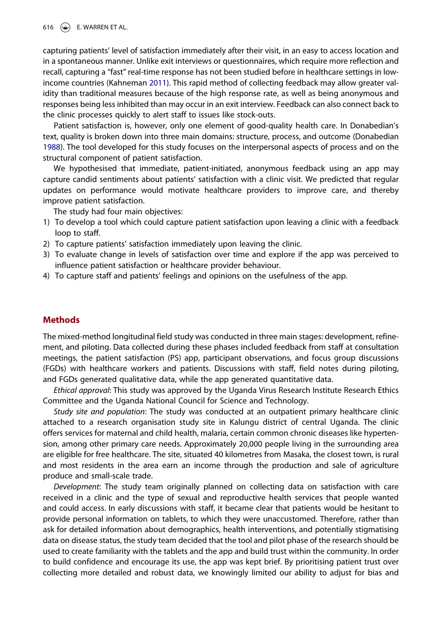capturing patients' level of satisfaction immediately after their visit, in an easy to access location and in a spontaneous manner. Unlike exit interviews or questionnaires, which require more reflection and recall, capturing a "fast" real-time response has not been studied before in healthcare settings in lowincome countries (Kahneman 2011). This rapid method of collecting feedback may allow greater validity than traditional measures because of the high response rate, as well as being anonymous and responses being less inhibited than may occur in an exit interview. Feedback can also connect back to the clinic processes quickly to alert staff to issues like stock-outs.

Patient satisfaction is, however, only one element of good-quality health care. In Donabedian's text, quality is broken down into three main domains: structure, process, and outcome (Donabedian 1988). The tool developed for this study focuses on the interpersonal aspects of process and on the structural component of patient satisfaction.

We hypothesised that immediate, patient-initiated, anonymous feedback using an app may capture candid sentiments about patients' satisfaction with a clinic visit. We predicted that regular updates on performance would motivate healthcare providers to improve care, and thereby improve patient satisfaction.

The study had four main objectives:

- 1) To develop a tool which could capture patient satisfaction upon leaving a clinic with a feedback loop to staff.
- 2) To capture patients' satisfaction immediately upon leaving the clinic.
- 3) To evaluate change in levels of satisfaction over time and explore if the app was perceived to influence patient satisfaction or healthcare provider behaviour.
- 4) To capture staff and patients' feelings and opinions on the usefulness of the app.

### **Methods**

The mixed-method longitudinal field study was conducted in three main stages: development, refinement, and piloting. Data collected during these phases included feedback from staff at consultation meetings, the patient satisfaction (PS) app, participant observations, and focus group discussions (FGDs) with healthcare workers and patients. Discussions with staff, field notes during piloting, and FGDs generated qualitative data, while the app generated quantitative data.

Ethical approval: This study was approved by the Uganda Virus Research Institute Research Ethics Committee and the Uganda National Council for Science and Technology.

Study site and population: The study was conducted at an outpatient primary healthcare clinic attached to a research organisation study site in Kalungu district of central Uganda. The clinic offers services for maternal and child health, malaria, certain common chronic diseases like hypertension, among other primary care needs. Approximately 20,000 people living in the surrounding area are eligible for free healthcare. The site, situated 40 kilometres from Masaka, the closest town, is rural and most residents in the area earn an income through the production and sale of agriculture produce and small-scale trade.

Development: The study team originally planned on collecting data on satisfaction with care received in a clinic and the type of sexual and reproductive health services that people wanted and could access. In early discussions with staff, it became clear that patients would be hesitant to provide personal information on tablets, to which they were unaccustomed. Therefore, rather than ask for detailed information about demographics, health interventions, and potentially stigmatising data on disease status, the study team decided that the tool and pilot phase of the research should be used to create familiarity with the tablets and the app and build trust within the community. In order to build confidence and encourage its use, the app was kept brief. By prioritising patient trust over collecting more detailed and robust data, we knowingly limited our ability to adjust for bias and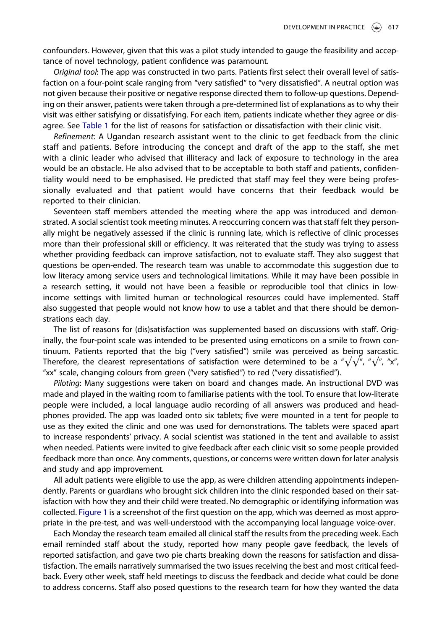confounders. However, given that this was a pilot study intended to gauge the feasibility and acceptance of novel technology, patient confidence was paramount.

Original tool: The app was constructed in two parts. Patients first select their overall level of satisfaction on a four-point scale ranging from "very satisfied" to "very dissatisfied". A neutral option was not given because their positive or negative response directed them to follow-up questions. Depending on their answer, patients were taken through a pre-determined list of explanations as to why their visit was either satisfying or dissatisfying. For each item, patients indicate whether they agree or disagree. See Table 1 for the list of reasons for satisfaction or dissatisfaction with their clinic visit.

Refinement: A Ugandan research assistant went to the clinic to get feedback from the clinic staff and patients. Before introducing the concept and draft of the app to the staff, she met with a clinic leader who advised that illiteracy and lack of exposure to technology in the area would be an obstacle. He also advised that to be acceptable to both staff and patients, confidentiality would need to be emphasised. He predicted that staff may feel they were being professionally evaluated and that patient would have concerns that their feedback would be reported to their clinician.

Seventeen staff members attended the meeting where the app was introduced and demonstrated. A social scientist took meeting minutes. A reoccurring concern was that staff felt they personally might be negatively assessed if the clinic is running late, which is reflective of clinic processes more than their professional skill or efficiency. It was reiterated that the study was trying to assess whether providing feedback can improve satisfaction, not to evaluate staff. They also suggest that questions be open-ended. The research team was unable to accommodate this suggestion due to low literacy among service users and technological limitations. While it may have been possible in a research setting, it would not have been a feasible or reproducible tool that clinics in lowincome settings with limited human or technological resources could have implemented. Staff also suggested that people would not know how to use a tablet and that there should be demonstrations each day.

The list of reasons for (dis)satisfaction was supplemented based on discussions with staff. Originally, the four-point scale was intended to be presented using emoticons on a smile to frown continuum. Patients reported that the big ("very satisfied") smile was perceived as being sarcastic. Therefore, the clearest representations of satisfaction were determined to be a " $\sqrt{\sqrt{''}}$ , " $\sqrt{''}$ , "x", "xx" scale, changing colours from green ("very satisfied") to red ("very dissatisfied").

Piloting: Many suggestions were taken on board and changes made. An instructional DVD was made and played in the waiting room to familiarise patients with the tool. To ensure that low-literate people were included, a local language audio recording of all answers was produced and headphones provided. The app was loaded onto six tablets; five were mounted in a tent for people to use as they exited the clinic and one was used for demonstrations. The tablets were spaced apart to increase respondents' privacy. A social scientist was stationed in the tent and available to assist when needed. Patients were invited to give feedback after each clinic visit so some people provided feedback more than once. Any comments, questions, or concerns were written down for later analysis and study and app improvement.

All adult patients were eligible to use the app, as were children attending appointments independently. Parents or guardians who brought sick children into the clinic responded based on their satisfaction with how they and their child were treated. No demographic or identifying information was collected. Figure 1 is a screenshot of the first question on the app, which was deemed as most appropriate in the pre-test, and was well-understood with the accompanying local language voice-over.

Each Monday the research team emailed all clinical staff the results from the preceding week. Each email reminded staff about the study, reported how many people gave feedback, the levels of reported satisfaction, and gave two pie charts breaking down the reasons for satisfaction and dissatisfaction. The emails narratively summarised the two issues receiving the best and most critical feedback. Every other week, staff held meetings to discuss the feedback and decide what could be done to address concerns. Staff also posed questions to the research team for how they wanted the data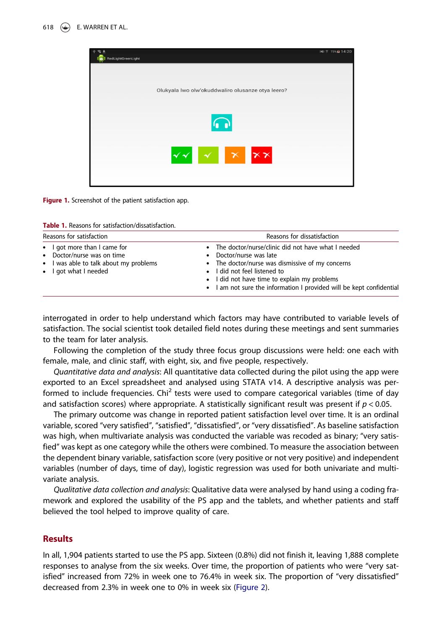

Figure 1. Screenshot of the patient satisfaction app.

|                          |                      | Table 1. Reasons for satisfaction/dissatisfaction. |
|--------------------------|----------------------|----------------------------------------------------|
| $\overline{\phantom{0}}$ | $\sim$ $\sim$ $\sim$ |                                                    |

| Reasons for satisfaction                                                                                                              | Reasons for dissatisfaction                                                                                                                                                                                                                                                                 |  |  |
|---------------------------------------------------------------------------------------------------------------------------------------|---------------------------------------------------------------------------------------------------------------------------------------------------------------------------------------------------------------------------------------------------------------------------------------------|--|--|
| $\bullet$   got more than I came for<br>• Doctor/nurse was on time<br>• I was able to talk about my problems<br>• I got what I needed | • The doctor/nurse/clinic did not have what I needed<br>• Doctor/nurse was late<br>• The doctor/nurse was dismissive of my concerns<br>• I did not feel listened to<br>• I did not have time to explain my problems<br>• I am not sure the information I provided will be kept confidential |  |  |

interrogated in order to help understand which factors may have contributed to variable levels of satisfaction. The social scientist took detailed field notes during these meetings and sent summaries to the team for later analysis.

Following the completion of the study three focus group discussions were held: one each with female, male, and clinic staff, with eight, six, and five people, respectively.

Quantitative data and analysis: All quantitative data collected during the pilot using the app were exported to an Excel spreadsheet and analysed using STATA v14. A descriptive analysis was performed to include frequencies. Chi<sup>2</sup> tests were used to compare categorical variables (time of day and satisfaction scores) where appropriate. A statistically significant result was present if  $p < 0.05$ .

The primary outcome was change in reported patient satisfaction level over time. It is an ordinal variable, scored "very satisfied", "satisfied", "dissatisfied", or "very dissatisfied". As baseline satisfaction was high, when multivariate analysis was conducted the variable was recoded as binary; "very satisfied" was kept as one category while the others were combined. To measure the association between the dependent binary variable, satisfaction score (very positive or not very positive) and independent variables (number of days, time of day), logistic regression was used for both univariate and multivariate analysis.

Qualitative data collection and analysis: Qualitative data were analysed by hand using a coding framework and explored the usability of the PS app and the tablets, and whether patients and staff believed the tool helped to improve quality of care.

### **Results**

In all, 1,904 patients started to use the PS app. Sixteen (0.8%) did not finish it, leaving 1,888 complete responses to analyse from the six weeks. Over time, the proportion of patients who were "very satisfied" increased from 72% in week one to 76.4% in week six. The proportion of "very dissatisfied" decreased from 2.3% in week one to 0% in week six (Figure 2).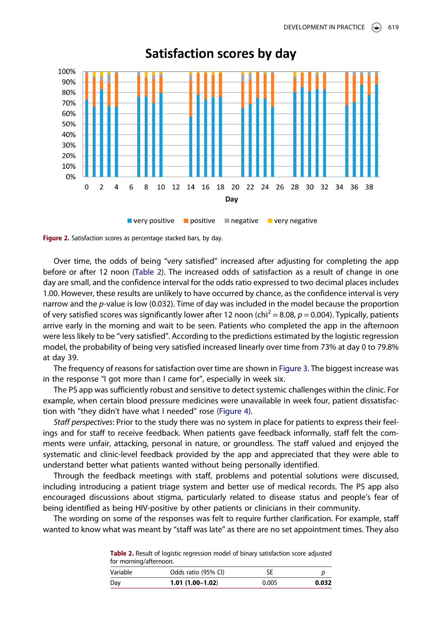

# **Satisfaction scores by day**



Over time, the odds of being "very satisfied" increased after adjusting for completing the app before or after 12 noon (Table 2). The increased odds of satisfaction as a result of change in one day are small, and the confidence interval for the odds ratio expressed to two decimal places includes 1.00. However, these results are unlikely to have occurred by chance, as the confidence interval is very narrow and the p-value is low (0.032). Time of day was included in the model because the proportion of very satisfied scores was significantly lower after 12 noon (chi<sup>2</sup> = 8.08,  $p = 0.004$ ). Typically, patients arrive early in the morning and wait to be seen. Patients who completed the app in the afternoon were less likely to be "very satisfied". According to the predictions estimated by the logistic regression model, the probability of being very satisfied increased linearly over time from 73% at day 0 to 79.8% at day 39.

The frequency of reasons for satisfaction over time are shown in Figure 3. The biggest increase was in the response "I got more than I came for", especially in week six.

The PS app was sufficiently robust and sensitive to detect systemic challenges within the clinic. For example, when certain blood pressure medicines were unavailable in week four, patient dissatisfaction with "they didn't have what I needed" rose (Figure 4).

Staff perspectives: Prior to the study there was no system in place for patients to express their feelings and for staff to receive feedback. When patients gave feedback informally, staff felt the comments were unfair, attacking, personal in nature, or groundless. The staff valued and enjoyed the systematic and clinic-level feedback provided by the app and appreciated that they were able to understand better what patients wanted without being personally identified.

Through the feedback meetings with staff, problems and potential solutions were discussed, including introducing a patient triage system and better use of medical records. The PS app also encouraged discussions about stigma, particularly related to disease status and people's fear of being identified as being HIV-positive by other patients or clinicians in their community.

The wording on some of the responses was felt to require further clarification. For example, staff wanted to know what was meant by "staff was late" as there are no set appointment times. They also

| <b>Table 2.</b> Result of logistic regression model of binary satisfaction score adjusted<br>for morning/afternoon. |                     |       |       |  |  |  |
|---------------------------------------------------------------------------------------------------------------------|---------------------|-------|-------|--|--|--|
| Variable                                                                                                            | Odds ratio (95% CI) | SΕ    |       |  |  |  |
| Day                                                                                                                 | $1.01(1.00-1.02)$   | 0.005 | 0.032 |  |  |  |
|                                                                                                                     |                     |       |       |  |  |  |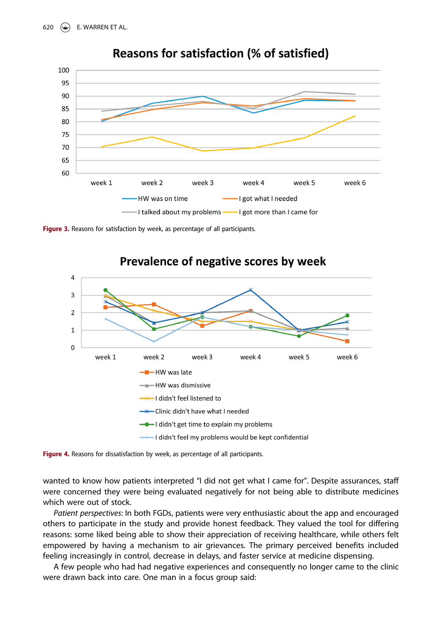

# Reasons for satisfaction (% of satisfied)

Figure 3. Reasons for satisfaction by week, as percentage of all participants.



# Prevalence of negative scores by week

Figure 4. Reasons for dissatisfaction by week, as percentage of all participants.

wanted to know how patients interpreted "I did not get what I came for". Despite assurances, staff were concerned they were being evaluated negatively for not being able to distribute medicines which were out of stock.

Patient perspectives: In both FGDs, patients were very enthusiastic about the app and encouraged others to participate in the study and provide honest feedback. They valued the tool for differing reasons: some liked being able to show their appreciation of receiving healthcare, while others felt empowered by having a mechanism to air grievances. The primary perceived benefits included feeling increasingly in control, decrease in delays, and faster service at medicine dispensing.

A few people who had had negative experiences and consequently no longer came to the clinic were drawn back into care. One man in a focus group said: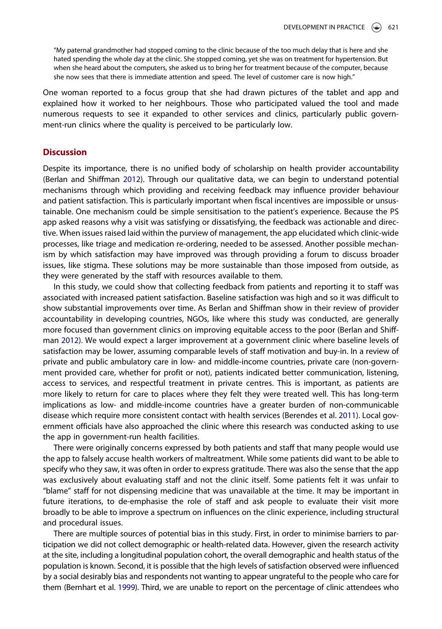"My paternal grandmother had stopped coming to the clinic because of the too much delay that is here and she hated spending the whole day at the clinic. She stopped coming, yet she was on treatment for hypertension. But when she heard about the computers, she asked us to bring her for treatment because of the computer, because she now sees that there is immediate attention and speed. The level of customer care is now high."

One woman reported to a focus group that she had drawn pictures of the tablet and app and explained how it worked to her neighbours. Those who participated valued the tool and made numerous requests to see it expanded to other services and clinics, particularly public government-run clinics where the quality is perceived to be particularly low.

### **Discussion**

Despite its importance, there is no unified body of scholarship on health provider accountability (Berlan and Shiffman 2012). Through our qualitative data, we can begin to understand potential mechanisms through which providing and receiving feedback may influence provider behaviour and patient satisfaction. This is particularly important when fiscal incentives are impossible or unsustainable. One mechanism could be simple sensitisation to the patient's experience. Because the PS app asked reasons why a visit was satisfying or dissatisfying, the feedback was actionable and directive. When issues raised laid within the purview of management, the app elucidated which clinic-wide processes, like triage and medication re-ordering, needed to be assessed. Another possible mechanism by which satisfaction may have improved was through providing a forum to discuss broader issues, like stigma. These solutions may be more sustainable than those imposed from outside, as they were generated by the staff with resources available to them.

In this study, we could show that collecting feedback from patients and reporting it to staff was associated with increased patient satisfaction. Baseline satisfaction was high and so it was difficult to show substantial improvements over time. As Berlan and Shiffman show in their review of provider accountability in developing countries, NGOs, like where this study was conducted, are generally more focused than government clinics on improving equitable access to the poor (Berlan and Shiffman 2012). We would expect a larger improvement at a government clinic where baseline levels of satisfaction may be lower, assuming comparable levels of staff motivation and buy-in. In a review of private and public ambulatory care in low- and middle-income countries, private care (non-government provided care, whether for profit or not), patients indicated better communication, listening, access to services, and respectful treatment in private centres. This is important, as patients are more likely to return for care to places where they felt they were treated well. This has long-term implications as low- and middle-income countries have a greater burden of non-communicable disease which require more consistent contact with health services (Berendes et al. 2011). Local government officials have also approached the clinic where this research was conducted asking to use the app in government-run health facilities.

There were originally concerns expressed by both patients and staff that many people would use the app to falsely accuse health workers of maltreatment. While some patients did want to be able to specify who they saw, it was often in order to express gratitude. There was also the sense that the app was exclusively about evaluating staff and not the clinic itself. Some patients felt it was unfair to "blame" staff for not dispensing medicine that was unavailable at the time. It may be important in future iterations, to de-emphasise the role of staff and ask people to evaluate their visit more broadly to be able to improve a spectrum on influences on the clinic experience, including structural and procedural issues.

There are multiple sources of potential bias in this study. First, in order to minimise barriers to participation we did not collect demographic or health-related data. However, given the research activity at the site, including a longitudinal population cohort, the overall demographic and health status of the population is known. Second, it is possible that the high levels of satisfaction observed were influenced by a social desirably bias and respondents not wanting to appear ungrateful to the people who care for them (Bernhart et al. 1999). Third, we are unable to report on the percentage of clinic attendees who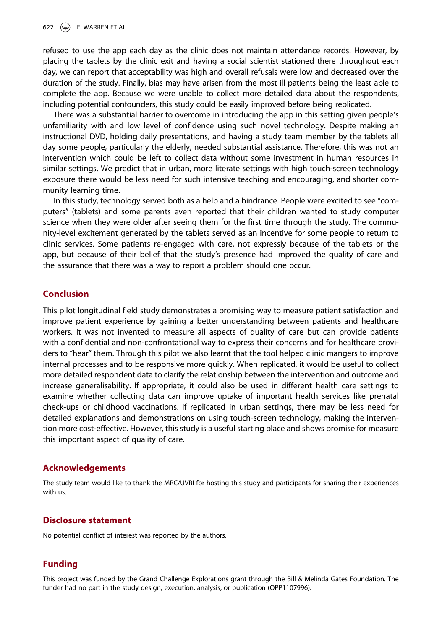refused to use the app each day as the clinic does not maintain attendance records. However, by placing the tablets by the clinic exit and having a social scientist stationed there throughout each day, we can report that acceptability was high and overall refusals were low and decreased over the duration of the study. Finally, bias may have arisen from the most ill patients being the least able to complete the app. Because we were unable to collect more detailed data about the respondents, including potential confounders, this study could be easily improved before being replicated.

There was a substantial barrier to overcome in introducing the app in this setting given people's unfamiliarity with and low level of confidence using such novel technology. Despite making an instructional DVD, holding daily presentations, and having a study team member by the tablets all day some people, particularly the elderly, needed substantial assistance. Therefore, this was not an intervention which could be left to collect data without some investment in human resources in similar settings. We predict that in urban, more literate settings with high touch-screen technology exposure there would be less need for such intensive teaching and encouraging, and shorter community learning time.

In this study, technology served both as a help and a hindrance. People were excited to see "computers" (tablets) and some parents even reported that their children wanted to study computer science when they were older after seeing them for the first time through the study. The community-level excitement generated by the tablets served as an incentive for some people to return to clinic services. Some patients re-engaged with care, not expressly because of the tablets or the app, but because of their belief that the study's presence had improved the quality of care and the assurance that there was a way to report a problem should one occur.

## Conclusion

This pilot longitudinal field study demonstrates a promising way to measure patient satisfaction and improve patient experience by gaining a better understanding between patients and healthcare workers. It was not invented to measure all aspects of quality of care but can provide patients with a confidential and non-confrontational way to express their concerns and for healthcare providers to "hear" them. Through this pilot we also learnt that the tool helped clinic mangers to improve internal processes and to be responsive more quickly. When replicated, it would be useful to collect more detailed respondent data to clarify the relationship between the intervention and outcome and increase generalisability. If appropriate, it could also be used in different health care settings to examine whether collecting data can improve uptake of important health services like prenatal check-ups or childhood vaccinations. If replicated in urban settings, there may be less need for detailed explanations and demonstrations on using touch-screen technology, making the intervention more cost-effective. However, this study is a useful starting place and shows promise for measure this important aspect of quality of care.

### Acknowledgements

The study team would like to thank the MRC/UVRI for hosting this study and participants for sharing their experiences with us.

### Disclosure statement

No potential conflict of interest was reported by the authors.

## Funding

This project was funded by the Grand Challenge Explorations grant through the Bill & Melinda Gates Foundation. The funder had no part in the study design, execution, analysis, or publication (OPP1107996).